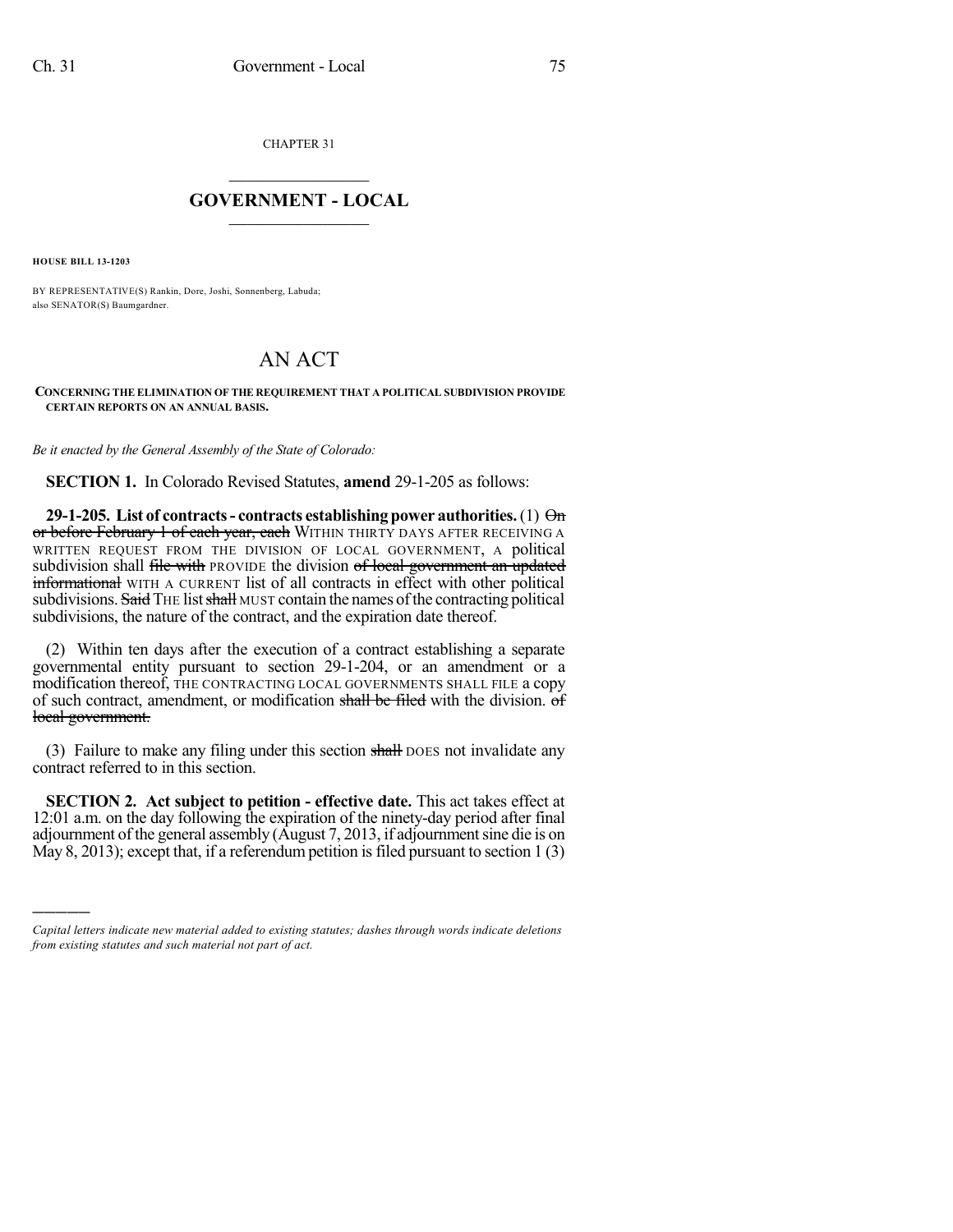CHAPTER 31

## $\overline{\phantom{a}}$  . The set of the set of the set of the set of the set of the set of the set of the set of the set of the set of the set of the set of the set of the set of the set of the set of the set of the set of the set o **GOVERNMENT - LOCAL**  $\_$

**HOUSE BILL 13-1203**

)))))

BY REPRESENTATIVE(S) Rankin, Dore, Joshi, Sonnenberg, Labuda; also SENATOR(S) Baumgardner.

## AN ACT

**CONCERNING THE ELIMINATION OF THE REQUIREMENT THAT A POLITICAL SUBDIVISION PROVIDE CERTAIN REPORTS ON AN ANNUAL BASIS.**

*Be it enacted by the General Assembly of the State of Colorado:*

**SECTION 1.** In Colorado Revised Statutes, **amend** 29-1-205 as follows:

**29-1-205. List of contracts- contracts establishing power authorities.**(1) On or before February 1 of each year, each WITHIN THIRTY DAYS AFTER RECEIVING A WRITTEN REQUEST FROM THE DIVISION OF LOCAL GOVERNMENT, A political subdivision shall file with PROVIDE the division of local government an updated informational WITH A CURRENT list of all contracts in effect with other political subdivisions. Said THE list shall MUST contain the names of the contracting political subdivisions, the nature of the contract, and the expiration date thereof.

(2) Within ten days after the execution of a contract establishing a separate governmental entity pursuant to section 29-1-204, or an amendment or a modification thereof, THE CONTRACTING LOCAL GOVERNMENTS SHALL FILE a copy of such contract, amendment, or modification shall be filed with the division. of local government.

(3) Failure to make any filing under this section shall poes not invalidate any contract referred to in this section.

**SECTION 2. Act subject to petition - effective date.** This act takes effect at 12:01 a.m. on the day following the expiration of the ninety-day period after final adjournment of the general assembly (August 7, 2013, if adjournment sine die is on May 8, 2013); except that, if a referendum petition is filed pursuant to section  $1(3)$ 

*Capital letters indicate new material added to existing statutes; dashes through words indicate deletions from existing statutes and such material not part of act.*